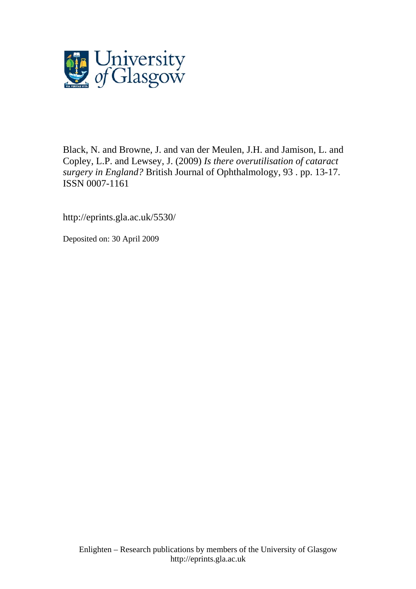

Black, N. and Browne, J. and van der Meulen, J.H. and Jamison, L. and Copley, L.P. and Lewsey, J. (2009) *Is there overutilisation of cataract surgery in England?* British Journal of Ophthalmology, 93 . pp. 13-17. ISSN 0007-1161

http://eprints.gla.ac.uk/5530/

Deposited on: 30 April 2009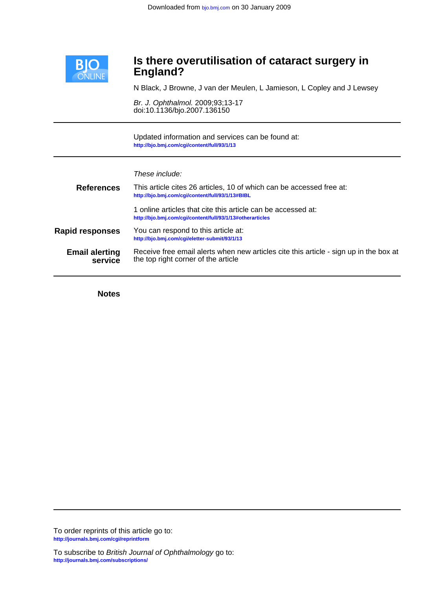

# **England? Is there overutilisation of cataract surgery in**

N Black, J Browne, J van der Meulen, L Jamieson, L Copley and J Lewsey

doi:10.1136/bjo.2007.136150 Br. J. Ophthalmol. 2009;93;13-17

**<http://bjo.bmj.com/cgi/content/full/93/1/13>** Updated information and services can be found at:

These include:

| <b>References</b>                | This article cites 26 articles, 10 of which can be accessed free at:<br>http://bjo.bmj.com/cqi/content/full/93/1/13#BIBL     |  |  |
|----------------------------------|------------------------------------------------------------------------------------------------------------------------------|--|--|
|                                  | 1 online articles that cite this article can be accessed at:<br>http://bjo.bmj.com/cqi/content/full/93/1/13#otherarticles    |  |  |
| <b>Rapid responses</b>           | You can respond to this article at:<br>http://bjo.bmj.com/cgi/eletter-submit/93/1/13                                         |  |  |
| <b>Email alerting</b><br>service | Receive free email alerts when new articles cite this article - sign up in the box at<br>the top right corner of the article |  |  |

**Notes**

**<http://journals.bmj.com/cgi/reprintform>** To order reprints of this article go to: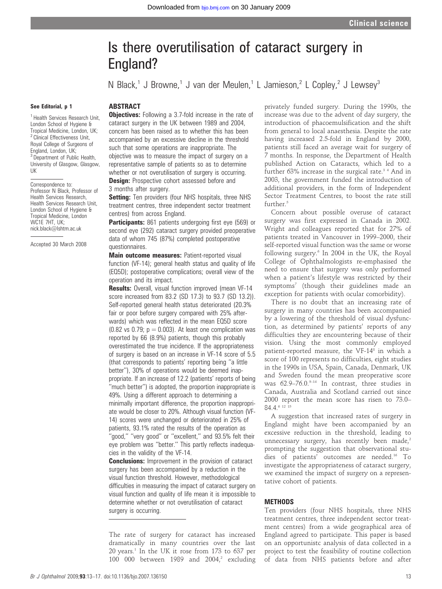# Is there overutilisation of cataract surgery in England?

N Black,<sup>1</sup> J Browne,<sup>1</sup> J van der Meulen,<sup>1</sup> L Jamieson,<sup>2</sup> L Copley,<sup>2</sup> J Lewsey<sup>3</sup>

#### See Editorial, p 1

<sup>1</sup> Health Services Research Unit, London School of Hygiene & Tropical Medicine, London, UK; <sup>2</sup> Clinical Effectiveness Unit, Royal College of Surgeons of England, London, UK; <sup>3</sup> Department of Public Health, University of Glasgow, Glasgow, UK

Correspondence to: Professor N Black, Professor of Health Services Research, Health Services Research Unit, London School of Hygiene & Tropical Medicine, London WC1E 7HT, UK; nick.black@lshtm.ac.uk

Accepted 30 March 2008

# ABSTRACT

**Objectives:** Following a 3.7-fold increase in the rate of cataract surgery in the UK between 1989 and 2004, concern has been raised as to whether this has been accompanied by an excessive decline in the threshold such that some operations are inappropriate. The objective was to measure the impact of surgery on a representative sample of patients so as to determine whether or not overutilisation of surgery is occurring. **Design:** Prospective cohort assessed before and 3 months after surgery.

Setting: Ten providers (four NHS hospitals, three NHS treatment centres, three independent sector treatment centres) from across England.

Participants: 861 patients undergoing first eye (569) or second eye (292) cataract surgery provided preoperative data of whom 745 (87%) completed postoperative questionnaires.

Main outcome measures: Patient-reported visual function (VF-14); general health status and quality of life (EQ5D); postoperative complications; overall view of the operation and its impact.

**Results:** Overall, visual function improved (mean VF-14 score increased from 83.2 (SD 17.3) to 93.7 (SD 13.2)). Self-reported general health status deteriorated (20.3% fair or poor before surgery compared with 25% afterwards) which was reflected in the mean EQ5D score (0.82 vs 0.79;  $p = 0.003$ ). At least one complication was reported by 66 (8.9%) patients, though this probably overestimated the true incidence. If the appropriateness of surgery is based on an increase in VF-14 score of 5.5 (that corresponds to patients' reporting being ''a little better''), 30% of operations would be deemed inappropriate. If an increase of 12.2 (patients' reports of being ''much better'') is adopted, the proportion inappropriate is 49%. Using a different approach to determining a minimally important difference, the proportion inappropriate would be closer to 20%. Although visual function (VF-14) scores were unchanged or deteriorated in 25% of patients, 93.1% rated the results of the operation as "good," "very good" or "excellent," and 93.5% felt their eye problem was ''better.'' This partly reflects inadequacies in the validity of the VF-14.

**Conclusions:** Improvement in the provision of cataract surgery has been accompanied by a reduction in the visual function threshold. However, methodological difficulties in measuring the impact of cataract surgery on visual function and quality of life mean it is impossible to determine whether or not overutilisation of cataract surgery is occurring.

The rate of surgery for cataract has increased dramatically in many countries over the last  $20$  years.<sup>1</sup> In the UK it rose from 173 to 637 per 100 000 between 1989 and  $2004$ <sup>2</sup> excluding

privately funded surgery. During the 1990s, the increase was due to the advent of day surgery, the introduction of phacoemulsification and the shift from general to local anaesthesia. Despite the rate having increased 2.5-fold in England by 2000, patients still faced an average wait for surgery of 7 months. In response, the Department of Health published Action on Cataracts, which led to a further 63% increase in the surgical rate.<sup>34</sup> And in 2003, the government funded the introduction of additional providers, in the form of Independent Sector Treatment Centres, to boost the rate still further.<sup>5</sup>

Concern about possible overuse of cataract surgery was first expressed in Canada in 2002. Wright and colleagues reported that for 27% of patients treated in Vancouver in 1999–2000, their self-reported visual function was the same or worse following surgery.<sup>6</sup> In 2004 in the UK, the Royal College of Ophthalmologists re-emphasised the need to ensure that surgery was only performed when a patient's lifestyle was restricted by their symptoms<sup>7</sup> (though their guidelines made an exception for patients with ocular comorbidity).

There is no doubt that an increasing rate of surgery in many countries has been accompanied by a lowering of the threshold of visual dysfunction, as determined by patients' reports of any difficulties they are encountering because of their vision. Using the most commonly employed patient-reported measure, the VF-14<sup>8</sup> in which a score of 100 represents no difficulties, eight studies in the 1990s in USA, Spain, Canada, Denmark, UK and Sweden found the mean preoperative score was  $62.9-76.0.^{9-14}$  In contrast, three studies in Canada, Australia and Scotland carried out since 2000 report the mean score has risen to 73.0– 84.4.6 12 15

A suggestion that increased rates of surgery in England might have been accompanied by an excessive reduction in the threshold, leading to unnecessary surgery, has recently been made, $2$ prompting the suggestion that observational studies of patients' outcomes are needed.16 To investigate the appropriateness of cataract surgery, we examined the impact of surgery on a representative cohort of patients.

#### METHODS

Ten providers (four NHS hospitals, three NHS treatment centres, three independent sector treatment centres) from a wide geographical area of England agreed to participate. This paper is based on an opportunistc analysis of data collected in a project to test the feasibility of routine collection of data from NHS patients before and after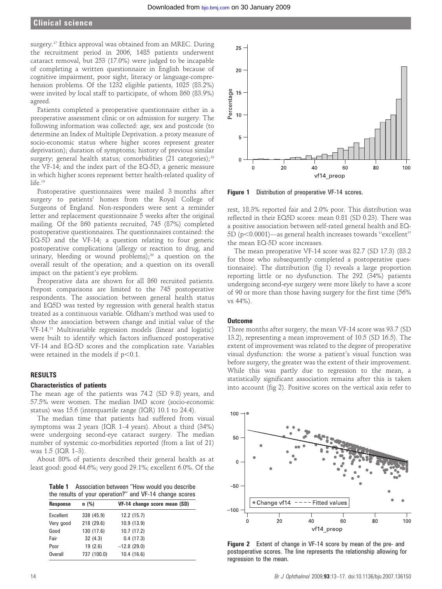# Clinical science

surgery.<sup>17</sup> Ethics approval was obtained from an MREC. During the recruitment period in 2006, 1485 patients underwent cataract removal, but 253 (17.0%) were judged to be incapable of completing a written questionnaire in English because of cognitive impairment, poor sight, literacy or language-comprehension problems. Of the 1232 eligible patients, 1025 (83.2%) were invited by local staff to participate, of whom 860 (83.9%) agreed.

Patients completed a preoperative questionnaire either in a preoperative assessment clinic or on admission for surgery. The following information was collected: age, sex and postcode (to determine an Index of Multiple Deprivation. a proxy measure of socio-economic status where higher scores represent greater deprivation); duration of symptoms; history of previous similar surgery; general health status; comorbidities (21 categories);<sup>18</sup> the VF-14; and the index part of the EQ-5D, a generic measure in which higher scores represent better health-related quality of life.<sup>19</sup>

Postoperative questionnaires were mailed 3 months after surgery to patients' homes from the Royal College of Surgeons of England. Non-responders were sent a reminder letter and replacement questionnaire 5 weeks after the original mailing. Of the 860 patients recruited, 745 (87%) completed postoperative questionnaires. The questionnaires contained: the EQ-5D and the VF-14; a question relating to four generic postoperative complications (allergy or reaction to drug, and urinary, bleeding or wound problems);<sup>20</sup> a question on the overall result of the operation; and a question on its overall impact on the patient's eye problem.

Preoperative data are shown for all 860 recruited patients. Prepost comparisons are limited to the 745 postoperative respondents. The association between general health status and EQ5D was tested by regression with general health status treated as a continuous variable. Oldham's method was used to show the association between change and initial value of the VF-14.21 Multivariable regression models (linear and logistic) were built to identify which factors influenced postoperative VF-14 and EQ-5D scores and the complication rate. Variables were retained in the models if  $p<0.1$ .

# RESULTS

#### Characteristics of patients

The mean age of the patients was 74.2 (SD 9.8) years, and 57.5% were women. The median IMD score (socio-economic status) was 15.6 (interquartile range (IQR) 10.1 to 24.4).

The median time that patients had suffered from visual symptoms was 2 years (IQR 1–4 years). About a third (34%) were undergoing second-eye cataract surgery. The median number of systemic co-morbidities reported (from a list of 21) was 1.5 (IQR 1–3).

About 80% of patients described their general health as at least good: good 44.6%; very good 29.1%; excellent 6.0%. Of the

Table 1 Association between "How would you describe the results of your operation?'' and VF-14 change scores

| <b>Response</b> | $n$ (%)     | VF-14 change score mean (SD) |
|-----------------|-------------|------------------------------|
| Excellent       | 338 (45.9)  | 12.2(15.7)                   |
| Very good       | 218 (29.6)  | 10.9 (13.9)                  |
| Good            | 130 (17.6)  | 10.7(17.2)                   |
| Fair            | 32(4.3)     | 0.4(17.3)                    |
| Poor            | 19(2.6)     | $-12.8(29.0)$                |
| Overall         | 737 (100.0) | 10.4(16.6)                   |



Figure 1 Distribution of preoperative VF-14 scores.

rest, 18.3% reported fair and 2.0% poor. This distribution was reflected in their EQ5D scores: mean 0.81 (SD 0.23). There was a positive association between self-rated general health and EQ-5D (p<0.0001)—as general health increases towards "excellent" the mean EQ-5D score increases.

The mean preoperative VF-14 score was 82.7 (SD 17.3) (83.2 for those who subsequently completed a postoperative questionnaire). The distribution (fig 1) reveals a large proportion reporting little or no dysfunction. The 292 (34%) patients undergoing second-eye surgery were more likely to have a score of 90 or more than those having surgery for the first time (56% vs 44%).

## **Outcome**

Three months after surgery, the mean VF-14 score was 93.7 (SD 13.2), representing a mean improvement of 10.5 (SD 16.5). The extent of improvement was related to the degree of preoperative visual dysfunction: the worse a patient's visual function was before surgery, the greater was the extent of their improvement. While this was partly due to regression to the mean, a statistically significant association remains after this is taken into account (fig 2). Positive scores on the vertical axis refer to



Figure 2 Extent of change in VF-14 score by mean of the pre- and postoperative scores. The line represents the relationship allowing for regression to the mean.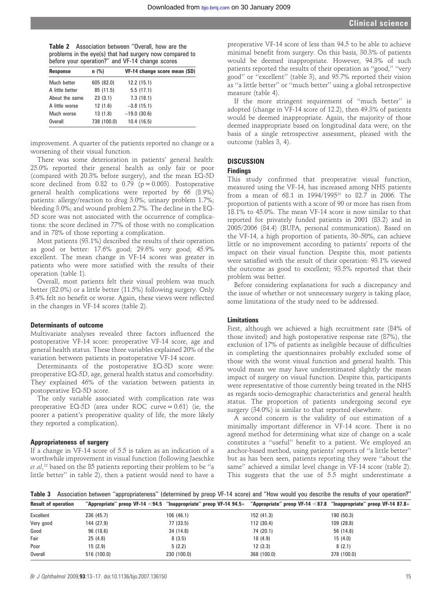Table 2 Association between "Overall, how are the problems in the eye(s) that had surgery now compared to before your operation?'' and VF-14 change scores

| <b>Response</b> | $n$ (%)     | VF-14 change score mean (SD) |
|-----------------|-------------|------------------------------|
| Much better     | 605 (82.0)  | 12.2 (15.1)                  |
| A little better | 85 (11.5)   | 5.5(17.1)                    |
| About the same  | 23(3.1)     | 7.3(18.1)                    |
| A little worse  | 12(1.6)     | $-3.8(15.1)$                 |
| Much worse      | 13(1.8)     | $-19.0(30.6)$                |
| Overall         | 738 (100.0) | 10.4(16.5)                   |

improvement. A quarter of the patients reported no change or a worsening of their visual function.

There was some deterioration in patients' general health: 25.0% reported their general health as only fair or poor (compared with 20.3% before surgery), and the mean EQ-5D score declined from  $0.82$  to  $0.79$  ( $p = 0.003$ ). Postoperative general health complications were reported by 66 (8.9%) patients: allergy/reaction to drug 3.0%; urinary problem 1.7%; bleeding 3.0%; and wound problem 2.7%. The decline in the EQ-5D score was not associated with the occurrence of complications: the score declined in 77% of those with no complication and in 78% of those reporting a complication.

Most patients (93.1%) described the results of their operation as good or better: 17.6% good; 29.6% very good; 45.9% excellent. The mean change in VF-14 scores was greater in patients who were more satisfied with the results of their operation (table 1).

Overall, most patients felt their visual problem was much better (82.0%) or a little better (11.5%) following surgery. Only 3.4% felt no benefit or worse. Again, these views were reflected in the changes in VF-14 scores (table 2).

#### Determinants of outcome

Multivariate analyses revealed three factors influenced the postoperative VF-14 score: preoperative VF-14 score, age and general health status. These three variables explained 20% of the variation between patients in postoperative VF-14 score.

Determinants of the postoperative EQ-5D score were: preoperative EQ-5D, age, general health status and comorbidity. They explained 46% of the variation between patients in postoperative EQ-5D score.

The only variable associated with complication rate was preoperative EQ-5D (area under ROC curve  $= 0.61$ ) (ie, the poorer a patient's preoperative quality of life, the more likely they reported a complication).

# Appropriateness of surgery

If a change in VF-14 score of 5.5 is taken as an indication of a worthwhile improvement in visual function (following Jaeschke et al, $^{\rm 22}$  based on the 85 patients reporting their problem to be ''a little better'' in table 2), then a patient would need to have a

preoperative VF-14 score of less than 94.5 to be able to achieve minimal benefit from surgery. On this basis, 30.3% of patients would be deemed inappropriate. However, 94.3% of such patients reported the results of their operation as ''good,'' ''very good'' or ''excellent'' (table 3), and 95.7% reported their vision as ''a little better'' or ''much better'' using a global retrospective measure (table 4).

If the more stringent requirement of ''much better'' is adopted (change in VF-14 score of 12.2), then 49.3% of patients would be deemed inappropriate. Again, the majority of those deemed inappropriate based on longitudinal data were, on the basis of a single retrospective assessment, pleased with the outcome (tables 3, 4).

# **DISCUSSION**

# **Findings**

This study confirmed that preoperative visual function, measured using the VF-14, has increased among NHS patients from a mean of 68.1 in 1994/199523 to 82.7 in 2006. The proportion of patients with a score of 90 or more has risen from 18.1% to 45.0%. The mean VF-14 score is now similar to that reported for privately funded patients in 2001 (83.2) and in 2005/2006 (84.4) (BUPA, personal communication). Based on the VF-14, a high proportion of patients, 30–50%, can achieve little or no improvement according to patients' reports of the impact on their visual function. Despite this, most patients were satisfied with the result of their operation: 93.1% viewed the outcome as good to excellent; 93.5% reported that their problem was better.

Before considering explanations for such a discrepancy and the issue of whether or not unnecessary surgery is taking place, some limitations of the study need to be addressed.

# **Limitations**

First, although we achieved a high recruitment rate (84% of those invited) and high postoperative response rate (87%), the exclusion of 17% of patients as ineligible because of difficulties in completing the questionnaires probably excluded some of those with the worst visual function and general health. This would mean we may have underestimated slightly the mean impact of surgery on visual function. Despite this, participants were representative of those currently being treated in the NHS as regards socio-demographic characteristics and general health status. The proportion of patients undergoing second eye surgery (34.0%) is similar to that reported elsewhere.

A second concern is the validity of our estimation of a minimally important difference in VF-14 score. There is no agreed method for determining what size of change on a scale constitutes a ''useful'' benefit to a patient. We employed an anchor-based method, using patients' reports of ''a little better'' but as has been seen, patients reporting they were ''about the same'' achieved a similar level change in VF-14 score (table 2). This suggests that the use of 5.5 might underestimate a

Table 3 Association between ''appropriateness'' (determined by preop VF-14 score) and ''How would you describe the results of your operation?''

| <b>Result of operation</b> |             | "Appropriate" preop VF-14 <94.5 "Inappropriate" preop VF-14 94.5+ "Appropriate" preop VF-14 <87.8 "Inappropriate" preop VF-14 87.8+ |             |             |
|----------------------------|-------------|-------------------------------------------------------------------------------------------------------------------------------------|-------------|-------------|
| Excellent                  | 236 (45.7)  | 106(46.1)                                                                                                                           | 152 (41.3)  | 190 (50.3)  |
| Very good                  | 144 (27.9)  | 77 (33.5)                                                                                                                           | 112 (30.4)  | 109 (28.8)  |
| Good                       | 96 (18.6)   | 34 (14.8)                                                                                                                           | 74 (20.1)   | 56 (14.8)   |
| Fair                       | 25 (4.8)    | 8(3.5)                                                                                                                              | 18(4.9)     | 15(4.0)     |
| Poor                       | 15(2.9)     | 5(2.2)                                                                                                                              | 12(3.3)     | 8(2.1)      |
| <b>Overall</b>             | 516 (100.0) | 230 (100.0)                                                                                                                         | 368 (100.0) | 378 (100.0) |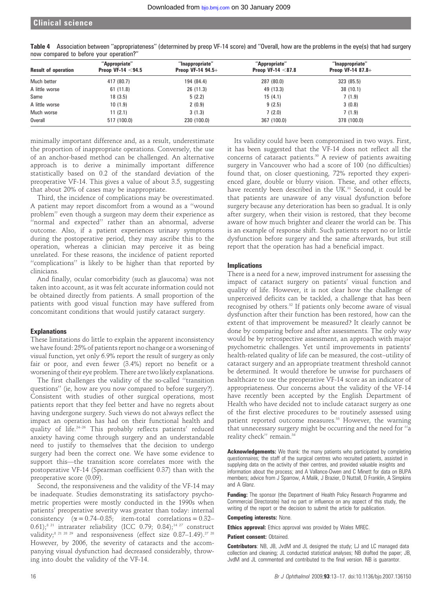| <b>Result of operation</b> | "Appropriate"<br>Preop VF-14 $<$ 94.5 | "Inappropriate"<br><b>Preop VF-14 94.5+</b> | "Appropriate"<br>Preop VF-14 $<$ 87.8 | "Inappropriate"<br><b>Preop VF-14 87.8+</b> |  |
|----------------------------|---------------------------------------|---------------------------------------------|---------------------------------------|---------------------------------------------|--|
| Much better                | 417 (80.7)                            | 194 (84.4)                                  | 287 (80.0)                            | 323 (85.5)                                  |  |
| A little worse             | 61(11.8)                              | 26 (11.3)                                   | 49 (13.3)                             | 38 (10.1)                                   |  |
| Same                       | 18(3.5)                               | 5(2.2)                                      | 15(4.1)                               | 7(1.9)                                      |  |
| A little worse             | 10(1.9)                               | 2(0.9)                                      | 9(2.5)                                | 3(0.8)                                      |  |
| Much worse                 | 11(2.1)                               | 3(1.3)                                      | 7(2.0)                                | 7(1.9)                                      |  |
| Overall                    | 517 (100.0)                           | 230 (100.0)                                 | 367 (100.0)                           | 378 (100.0)                                 |  |

Table 4 Association between ''appropriateness'' (determined by preop VF-14 score) and ''Overall, how are the problems in the eye(s) that had surgery now compared to before your operation?''

minimally important difference and, as a result, underestimate the proportion of inappropriate operations. Conversely, the use of an anchor-based method can be challenged. An alternative approach is to derive a minimally important difference statistically based on 0.2 of the standard deviation of the preoperative VF-14. This gives a value of about 3.5, suggesting that about 20% of cases may be inappropriate.

Third, the incidence of complications may be overestimated. A patient may report discomfort from a wound as a ''wound problem'' even though a surgeon may deem their experience as ''normal and expected'' rather than an abnormal, adverse outcome. Also, if a patient experiences urinary symptoms during the postoperative period, they may ascribe this to the operation, whereas a clinician may perceive it as being unrelated. For these reasons, the incidence of patient reported ''complications'' is likely to be higher than that reported by clinicians.

And finally, ocular comorbidity (such as glaucoma) was not taken into account, as it was felt accurate information could not be obtained directly from patients. A small proportion of the patients with good visual function may have suffered from concomitant conditions that would justify cataract surgery.

# Explanations

These limitations do little to explain the apparent inconsistency we have found: 25% of patients report no change or a worsening of visual function, yet only 6.9% report the result of surgery as only fair or poor, and even fewer (3.4%) report no benefit or a worsening of their eye problem. There are two likely explanations.

The first challenges the validity of the so-called ''transition questions'' (ie, how are you now compared to before surgery?). Consistent with studies of other surgical operations, most patients report that they feel better and have no regrets about having undergone surgery. Such views do not always reflect the impact an operation has had on their functional health and quality of life.24–26 This probably reflects patients' reduced anxiety having come through surgery and an understandable need to justify to themselves that the decision to undergo surgery had been the correct one. We have some evidence to support this—the transition score correlates more with the postoperative VF-14 (Spearman coefficient 0.37) than with the preoperative score (0.09).

Second, the responsiveness and the validity of the VF-14 may be inadequate. Studies demonstrating its satisfactory psychometric properties were mostly conducted in the 1990s when patients' preoperative severity was greater than today: internal consistency  $(\alpha = 0.74 - 0.85;$  item-total correlations = 0.32– 0.61);<sup>8 21</sup> intrarater reliability (ICC 0.79; 0.84);<sup>14 27</sup> construct validity;<sup>8 21 28 29</sup> and responsiveness (effect size  $0.87-1.49$ ).<sup>27 28</sup> However, by 2006, the severity of cataracts and the accompanying visual dysfunction had decreased considerably, throwing into doubt the validity of the VF-14.

Its validity could have been compromised in two ways. First, it has been suggested that the VF-14 does not reflect all the concerns of cataract patients.<sup>30</sup> A review of patients awaiting surgery in Vancouver who had a score of 100 (no difficulties) found that, on closer questioning, 72% reported they experienced glare, double or blurry vision. These, and other effects, have recently been described in the UK.<sup>31</sup> Second, it could be that patients are unaware of any visual dysfunction before surgery because any deterioration has been so gradual. It is only after surgery, when their vision is restored, that they become aware of how much brighter and clearer the world can be. This is an example of response shift. Such patients report no or little dysfunction before surgery and the same afterwards, but still report that the operation has had a beneficial impact.

# Implications

There is a need for a new, improved instrument for assessing the impact of cataract surgery on patients' visual function and quality of life. However, it is not clear how the challenge of unperceived deficits can be tackled, a challenge that has been recognised by others.<sup>32</sup> If patients only become aware of visual dysfunction after their function has been restored, how can the extent of that improvement be measured? It clearly cannot be done by comparing before and after assessments. The only way would be by retrospective assessment, an approach with major psychometric challenges. Yet until improvements in patients' health-related quality of life can be measured, the cost–utility of cataract surgery and an appropriate treatment threshold cannot be determined. It would therefore be unwise for purchasers of healthcare to use the preoperative VF-14 score as an indicator of appropriateness. Our concerns about the validity of the VF-14 have recently been accepted by the English Department of Health who have decided not to include cataract surgery as one of the first elective procedures to be routinely assessed using patient reported outcome measures.<sup>33</sup> However, the warning that unnecessary surgery might be occurring and the need for ''a reality check" remain.<sup>34</sup>

Acknowledgements: We thank: the many patients who participated by completing questionnaires; the staff of the surgical centres who recruited patients, assisted in supplying data on the activity of their centres, and provided valuable insights and information about the process; and A Vallance-Owen and C Minett for data on BUPA members; advice from J Sparrow, A Malik, J Brazier, D Nuttall, D Franklin, A Simpkins and A Glanz.

**Funding:** The sponsor (the Department of Health Policy Research Programme and Commercial Directorate) had no part or influence on any aspect of this study, the writing of the report or the decision to submit the article for publication.

#### Competing interests: None.

Ethics approval: Ethics approval was provided by Wales MREC.

Patient consent: Obtained.

Contributors: NB, JB, JvdM and JL designed the study; LJ and LC managed data collection and cleaning; JL conducted statistical analyses; NB drafted the paper; JB, JvdM and JL commented and contributed to the final version. NB is guarantor.